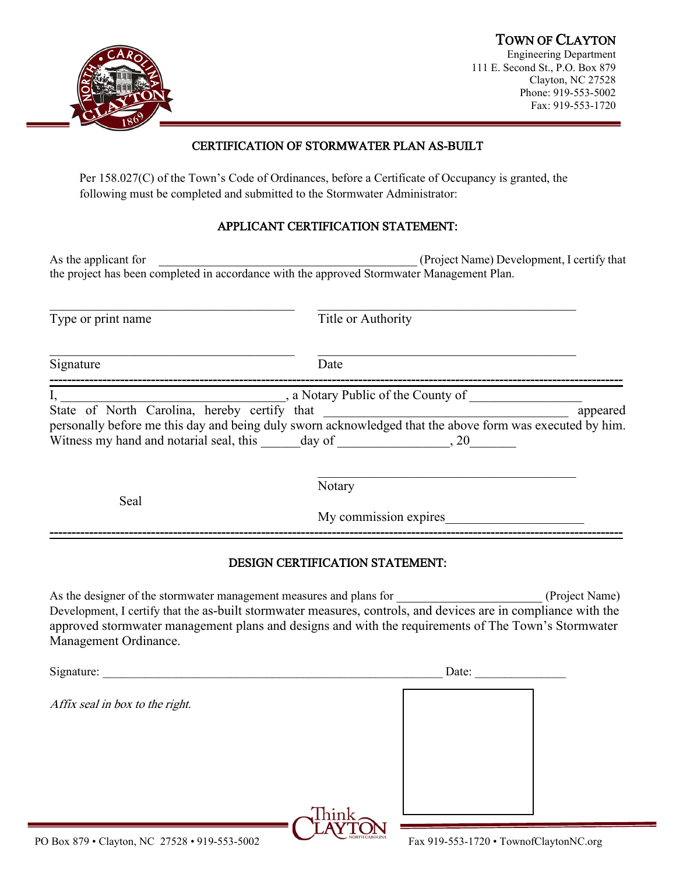# TOWN OF CLAYTON Engineering Department



111 E. Second St., P.O. Box 879 Clayton, NC 27528 Phone: 919-553-5002 Fax: 919-553-1720

### CERTIFICATION OF STORMWATER PLAN AS-BUILT

Per 158.027(C) of the Town's Code of Ordinances, before a Certificate of Occupancy is granted, the following must be completed and submitted to the Stormwater Administrator:

#### APPLICANT CERTIFICATION STATEMENT:

As the applicant for **Assument** of  $\blacksquare$  (Project Name) Development, I certify that the project has been completed in accordance with the approved Stormwater Management Plan.

Type or print name Title or Authority  $\mathcal{L}_\text{max}$  , and the contribution of the contribution of the contribution of the contribution of the contribution of the contribution of the contribution of the contribution of the contribution of the contribution of t Signature Date **----------------------------------------------------------------------------------------------------------------------------------** I, a Notary Public of the County of State of North Carolina, hereby certify that \_\_\_\_\_\_\_\_\_\_\_\_\_\_\_\_\_\_\_\_\_\_\_\_\_\_\_\_\_\_\_\_\_\_\_\_\_ appeared personally before me this day and being duly sworn acknowledged that the above form was executed by him. Witness my hand and notarial seal, this day of the same seal,  $20$  $\mathcal{L}_\mathcal{L}$  , which is a set of the set of the set of the set of the set of the set of the set of the set of the set of the set of the set of the set of the set of the set of the set of the set of the set of the set of Notary Seal

#### DESIGN CERTIFICATION STATEMENT:

**----------------------------------------------------------------------------------------------------------------------------------**

My commission expires

As the designer of the stormwater management measures and plans for  $(Project Name)$ Development, I certify that the as-built stormwater measures, controls, and devices are in compliance with the approved stormwater management plans and designs and with the requirements of The Town's Stormwater Management Ordinance.

| Signature:                                                  |                        | Date:                                                 |  |
|-------------------------------------------------------------|------------------------|-------------------------------------------------------|--|
| Affix seal in box to the right.                             |                        |                                                       |  |
|                                                             |                        |                                                       |  |
|                                                             |                        |                                                       |  |
|                                                             | $\mathop{\hbox{Inin}}$ |                                                       |  |
| $0.70 \quad 01 \quad 110.2750$<br>$\sqrt{2}$<br>010.552.500 | <b>NORTH CAROLINA</b>  | $\sim$ 1<br>D.<br>$0.10$ $552$ $1720$<br>$\mathbf{r}$ |  |